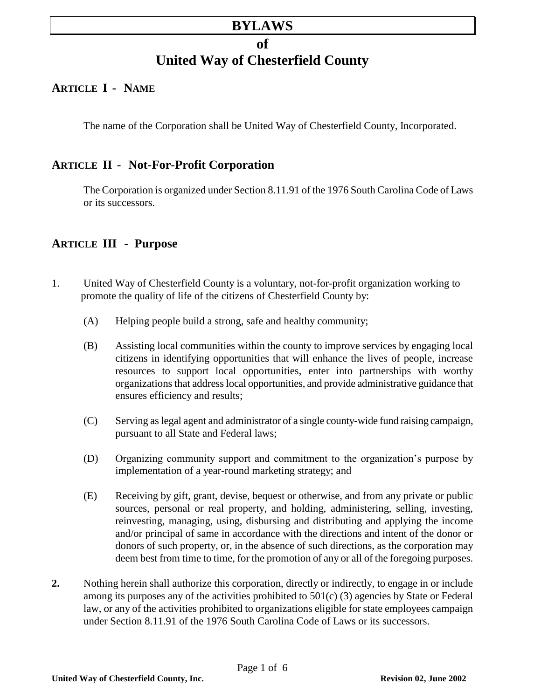# **BYLAWS**

# **of United Way of Chesterfield County**

# **ARTICLE I - NAME**

The name of the Corporation shall be United Way of Chesterfield County, Incorporated.

# **ARTICLE II - Not-For-Profit Corporation**

The Corporation is organized under Section 8.11.91 of the 1976 South Carolina Code of Laws or its successors.

# **ARTICLE III - Purpose**

- 1. United Way of Chesterfield County is a voluntary, not-for-profit organization working to promote the quality of life of the citizens of Chesterfield County by:
	- (A) Helping people build a strong, safe and healthy community;
	- (B) Assisting local communities within the county to improve services by engaging local citizens in identifying opportunities that will enhance the lives of people, increase resources to support local opportunities, enter into partnerships with worthy organizations that address local opportunities, and provide administrative guidance that ensures efficiency and results;
	- (C) Serving as legal agent and administrator of a single county-wide fund raising campaign, pursuant to all State and Federal laws;
	- (D) Organizing community support and commitment to the organization's purpose by implementation of a year-round marketing strategy; and
	- (E) Receiving by gift, grant, devise, bequest or otherwise, and from any private or public sources, personal or real property, and holding, administering, selling, investing, reinvesting, managing, using, disbursing and distributing and applying the income and/or principal of same in accordance with the directions and intent of the donor or donors of such property, or, in the absence of such directions, as the corporation may deem best from time to time, for the promotion of any or all of the foregoing purposes.
- **2.** Nothing herein shall authorize this corporation, directly or indirectly, to engage in or include among its purposes any of the activities prohibited to 501(c) (3) agencies by State or Federal law, or any of the activities prohibited to organizations eligible for state employees campaign under Section 8.11.91 of the 1976 South Carolina Code of Laws or its successors.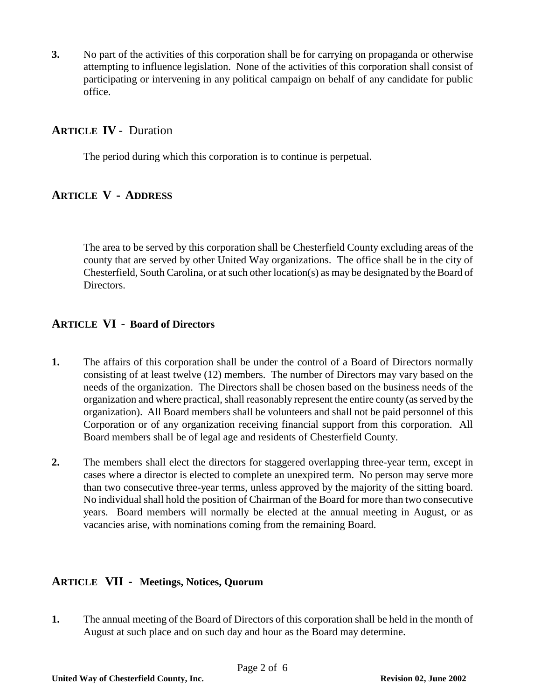**3.** No part of the activities of this corporation shall be for carrying on propaganda or otherwise attempting to influence legislation. None of the activities of this corporation shall consist of participating or intervening in any political campaign on behalf of any candidate for public office.

### **ARTICLE IV** - Duration

The period during which this corporation is to continue is perpetual.

# **ARTICLE V - ADDRESS**

The area to be served by this corporation shall be Chesterfield County excluding areas of the county that are served by other United Way organizations. The office shall be in the city of Chesterfield, South Carolina, or at such other location(s) as may be designated by the Board of Directors.

### **ARTICLE VI - Board of Directors**

- **1.** The affairs of this corporation shall be under the control of a Board of Directors normally consisting of at least twelve (12) members. The number of Directors may vary based on the needs of the organization. The Directors shall be chosen based on the business needs of the organization and where practical, shall reasonably represent the entire county (as served by the organization). All Board members shall be volunteers and shall not be paid personnel of this Corporation or of any organization receiving financial support from this corporation. All Board members shall be of legal age and residents of Chesterfield County.
- **2.** The members shall elect the directors for staggered overlapping three-year term, except in cases where a director is elected to complete an unexpired term. No person may serve more than two consecutive three-year terms, unless approved by the majority of the sitting board. No individual shall hold the position of Chairman of the Board for more than two consecutive years. Board members will normally be elected at the annual meeting in August, or as vacancies arise, with nominations coming from the remaining Board.

### **ARTICLE VII - Meetings, Notices, Quorum**

**1.** The annual meeting of the Board of Directors of this corporation shall be held in the month of August at such place and on such day and hour as the Board may determine.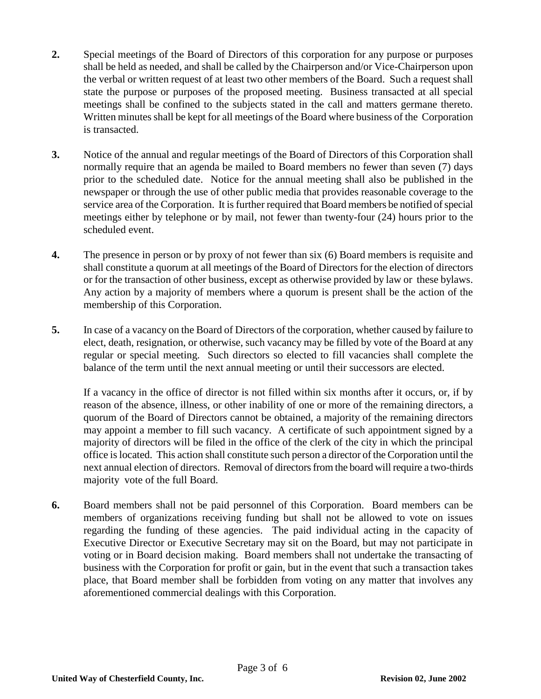- **2.** Special meetings of the Board of Directors of this corporation for any purpose or purposes shall be held as needed, and shall be called by the Chairperson and/or Vice-Chairperson upon the verbal or written request of at least two other members of the Board. Such a request shall state the purpose or purposes of the proposed meeting. Business transacted at all special meetings shall be confined to the subjects stated in the call and matters germane thereto. Written minutes shall be kept for all meetings of the Board where business of the Corporation is transacted.
- **3.** Notice of the annual and regular meetings of the Board of Directors of this Corporation shall normally require that an agenda be mailed to Board members no fewer than seven (7) days prior to the scheduled date. Notice for the annual meeting shall also be published in the newspaper or through the use of other public media that provides reasonable coverage to the service area of the Corporation. It is further required that Board members be notified of special meetings either by telephone or by mail, not fewer than twenty-four (24) hours prior to the scheduled event.
- **4.** The presence in person or by proxy of not fewer than six (6) Board members is requisite and shall constitute a quorum at all meetings of the Board of Directors for the election of directors or for the transaction of other business, except as otherwise provided by law or these bylaws. Any action by a majority of members where a quorum is present shall be the action of the membership of this Corporation.
- **5.** In case of a vacancy on the Board of Directors of the corporation, whether caused by failure to elect, death, resignation, or otherwise, such vacancy may be filled by vote of the Board at any regular or special meeting. Such directors so elected to fill vacancies shall complete the balance of the term until the next annual meeting or until their successors are elected.

If a vacancy in the office of director is not filled within six months after it occurs, or, if by reason of the absence, illness, or other inability of one or more of the remaining directors, a quorum of the Board of Directors cannot be obtained, a majority of the remaining directors may appoint a member to fill such vacancy. A certificate of such appointment signed by a majority of directors will be filed in the office of the clerk of the city in which the principal office is located. This action shall constitute such person a director of the Corporation until the next annual election of directors. Removal of directors from the board will require a two-thirds majority vote of the full Board.

**6.** Board members shall not be paid personnel of this Corporation. Board members can be members of organizations receiving funding but shall not be allowed to vote on issues regarding the funding of these agencies. The paid individual acting in the capacity of Executive Director or Executive Secretary may sit on the Board, but may not participate in voting or in Board decision making. Board members shall not undertake the transacting of business with the Corporation for profit or gain, but in the event that such a transaction takes place, that Board member shall be forbidden from voting on any matter that involves any aforementioned commercial dealings with this Corporation.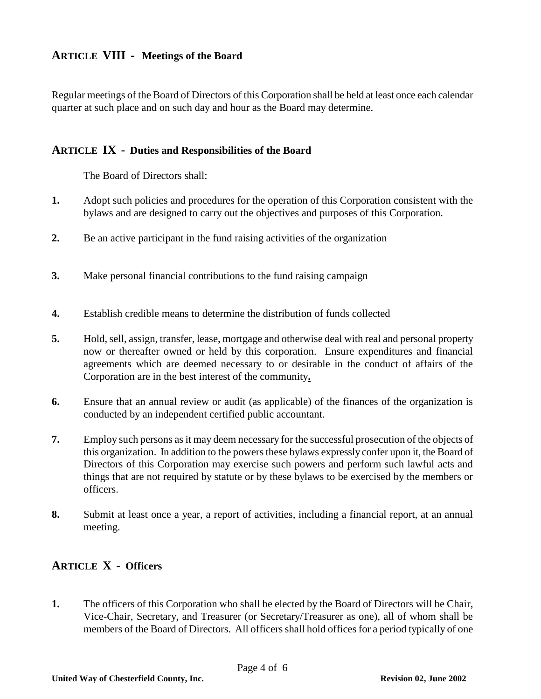### **ARTICLE VIII - Meetings of the Board**

Regular meetings of the Board of Directors of this Corporation shall be held at least once each calendar quarter at such place and on such day and hour as the Board may determine.

#### **ARTICLE IX - Duties and Responsibilities of the Board**

The Board of Directors shall:

- **1.** Adopt such policies and procedures for the operation of this Corporation consistent with the bylaws and are designed to carry out the objectives and purposes of this Corporation.
- **2.** Be an active participant in the fund raising activities of the organization
- **3.** Make personal financial contributions to the fund raising campaign
- **4.** Establish credible means to determine the distribution of funds collected
- **5.** Hold, sell, assign, transfer, lease, mortgage and otherwise deal with real and personal property now or thereafter owned or held by this corporation. Ensure expenditures and financial agreements which are deemed necessary to or desirable in the conduct of affairs of the Corporation are in the best interest of the community**.**
- **6.** Ensure that an annual review or audit (as applicable) of the finances of the organization is conducted by an independent certified public accountant.
- **7.** Employ such persons as it may deem necessary for the successful prosecution of the objects of this organization. In addition to the powers these bylaws expressly confer upon it, the Board of Directors of this Corporation may exercise such powers and perform such lawful acts and things that are not required by statute or by these bylaws to be exercised by the members or officers.
- **8.** Submit at least once a year, a report of activities, including a financial report, at an annual meeting.

# **ARTICLE X - Officers**

**1.** The officers of this Corporation who shall be elected by the Board of Directors will be Chair, Vice-Chair, Secretary, and Treasurer (or Secretary/Treasurer as one), all of whom shall be members of the Board of Directors. All officers shall hold offices for a period typically of one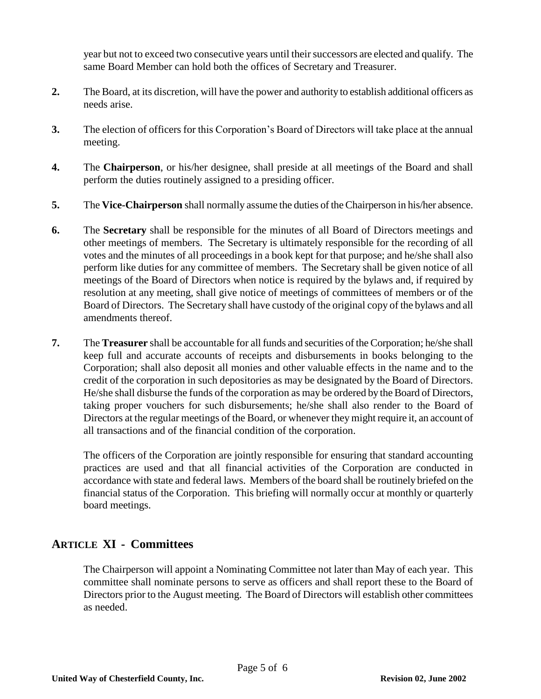year but not to exceed two consecutive years until their successors are elected and qualify. The same Board Member can hold both the offices of Secretary and Treasurer.

- **2.** The Board, at its discretion, will have the power and authority to establish additional officers as needs arise.
- **3.** The election of officers for this Corporation's Board of Directors will take place at the annual meeting.
- **4.** The **Chairperson**, or his/her designee, shall preside at all meetings of the Board and shall perform the duties routinely assigned to a presiding officer.
- **5.** The **Vice-Chairperson** shall normally assume the duties of the Chairperson in his/her absence.
- **6.** The **Secretary** shall be responsible for the minutes of all Board of Directors meetings and other meetings of members. The Secretary is ultimately responsible for the recording of all votes and the minutes of all proceedings in a book kept for that purpose; and he/she shall also perform like duties for any committee of members. The Secretary shall be given notice of all meetings of the Board of Directors when notice is required by the bylaws and, if required by resolution at any meeting, shall give notice of meetings of committees of members or of the Board of Directors. The Secretary shall have custody of the original copy of the bylaws and all amendments thereof.
- **7.** The **Treasurer** shall be accountable for all funds and securities of the Corporation; he/she shall keep full and accurate accounts of receipts and disbursements in books belonging to the Corporation; shall also deposit all monies and other valuable effects in the name and to the credit of the corporation in such depositories as may be designated by the Board of Directors. He/she shall disburse the funds of the corporation as may be ordered by the Board of Directors, taking proper vouchers for such disbursements; he/she shall also render to the Board of Directors at the regular meetings of the Board, or whenever they might require it, an account of all transactions and of the financial condition of the corporation.

The officers of the Corporation are jointly responsible for ensuring that standard accounting practices are used and that all financial activities of the Corporation are conducted in accordance with state and federal laws. Members of the board shall be routinely briefed on the financial status of the Corporation. This briefing will normally occur at monthly or quarterly board meetings.

# **ARTICLE XI - Committees**

The Chairperson will appoint a Nominating Committee not later than May of each year. This committee shall nominate persons to serve as officers and shall report these to the Board of Directors prior to the August meeting. The Board of Directors will establish other committees as needed.